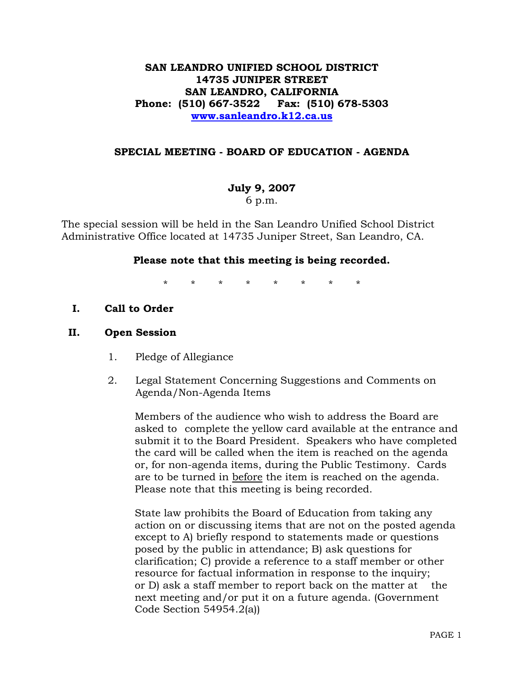# **SAN LEANDRO UNIFIED SCHOOL DISTRICT 14735 JUNIPER STREET SAN LEANDRO, CALIFORNIA Phone: (510) 667-3522 Fax: (510) 678-5303 www.sanleandro.k12.ca.us**

## **SPECIAL MEETING - BOARD OF EDUCATION - AGENDA**

# **July 9, 2007**

6 p.m.

The special session will be held in the San Leandro Unified School District Administrative Office located at 14735 Juniper Street, San Leandro, CA.

## **Please note that this meeting is being recorded.**

\* \* \* \* \* \* \* \*

**I. Call to Order** 

## **II. Open Session**

- 1. Pledge of Allegiance
- 2. Legal Statement Concerning Suggestions and Comments on Agenda/Non-Agenda Items

 Members of the audience who wish to address the Board are asked to complete the yellow card available at the entrance and submit it to the Board President. Speakers who have completed the card will be called when the item is reached on the agenda or, for non-agenda items, during the Public Testimony. Cards are to be turned in before the item is reached on the agenda. Please note that this meeting is being recorded.

 State law prohibits the Board of Education from taking any action on or discussing items that are not on the posted agenda except to A) briefly respond to statements made or questions posed by the public in attendance; B) ask questions for clarification; C) provide a reference to a staff member or other resource for factual information in response to the inquiry; or D) ask a staff member to report back on the matter at the next meeting and/or put it on a future agenda. (Government Code Section 54954.2(a))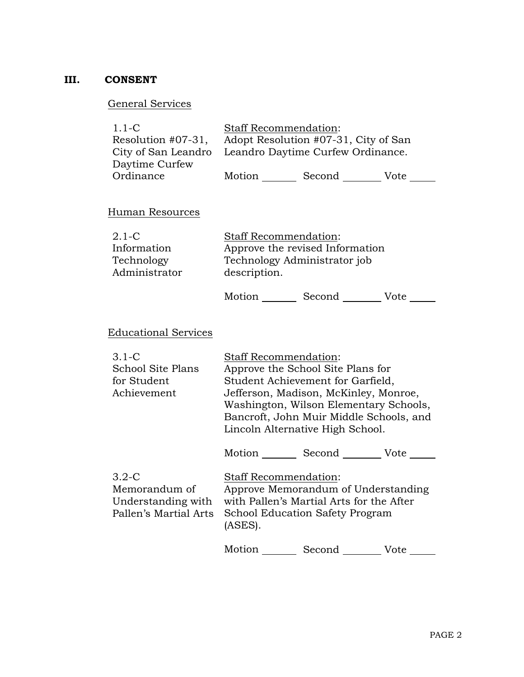# **III. CONSENT**

# General Services

| $1.1 - C$                                             | <b>Staff Recommendation:</b> |                                      |      |
|-------------------------------------------------------|------------------------------|--------------------------------------|------|
| Resolution #07-31,                                    |                              | Adopt Resolution #07-31, City of San |      |
| City of San Leandro Leandro Daytime Curfew Ordinance. |                              |                                      |      |
| Daytime Curfew                                        |                              |                                      |      |
| Ordinance                                             | Motion                       | Second                               | Vote |

# Human Resources

| $2.1 - C$     | <b>Staff Recommendation:</b>    |
|---------------|---------------------------------|
| Information   | Approve the revised Information |
| Technology    | Technology Administrator job    |
| Administrator | description.                    |
|               |                                 |

Motion Second Vote \_\_\_\_\_\_

# Educational Services

| $3.1 - C$                                                                 | <b>Staff Recommendation:</b>                                                                                                                                  |                                            |      |
|---------------------------------------------------------------------------|---------------------------------------------------------------------------------------------------------------------------------------------------------------|--------------------------------------------|------|
| School Site Plans                                                         |                                                                                                                                                               | Approve the School Site Plans for          |      |
| for Student                                                               |                                                                                                                                                               | Student Achievement for Garfield,          |      |
| Achievement                                                               |                                                                                                                                                               | Jefferson, Madison, McKinley, Monroe,      |      |
|                                                                           | Washington, Wilson Elementary Schools,                                                                                                                        |                                            |      |
|                                                                           |                                                                                                                                                               | Bancroft, John Muir Middle Schools, and    |      |
|                                                                           |                                                                                                                                                               | Lincoln Alternative High School.           |      |
|                                                                           |                                                                                                                                                               | Motion _______ Second _________ Vote _____ |      |
| $3.2 - C$<br>Memorandum of<br>Understanding with<br>Pallen's Martial Arts | <b>Staff Recommendation:</b><br>Approve Memorandum of Understanding<br>with Pallen's Martial Arts for the After<br>School Education Safety Program<br>(ASES). |                                            |      |
|                                                                           | Motion                                                                                                                                                        |                                            | Vote |